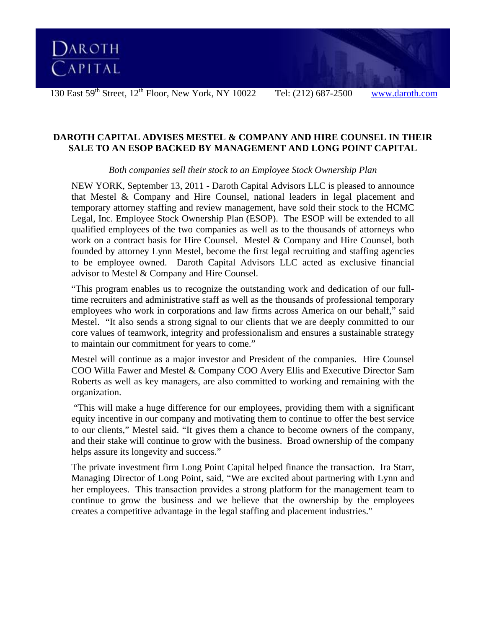

**DAROTH CAPITAL ADVISES MESTEL & COMPANY AND HIRE COUNSEL IN THEIR SALE TO AN ESOP BACKED BY MANAGEMENT AND LONG POINT CAPITAL** 

*Both companies sell their stock to an Employee Stock Ownership Plan* 

NEW YORK, September 13, 2011 - Daroth Capital Advisors LLC is pleased to announce that Mestel & Company and Hire Counsel, national leaders in legal placement and temporary attorney staffing and review management, have sold their stock to the HCMC Legal, Inc. Employee Stock Ownership Plan (ESOP). The ESOP will be extended to all qualified employees of the two companies as well as to the thousands of attorneys who work on a contract basis for Hire Counsel. Mestel & Company and Hire Counsel, both founded by attorney Lynn Mestel, become the first legal recruiting and staffing agencies to be employee owned. Daroth Capital Advisors LLC acted as exclusive financial advisor to Mestel & Company and Hire Counsel.

"This program enables us to recognize the outstanding work and dedication of our fulltime recruiters and administrative staff as well as the thousands of professional temporary employees who work in corporations and law firms across America on our behalf," said Mestel. "It also sends a strong signal to our clients that we are deeply committed to our core values of teamwork, integrity and professionalism and ensures a sustainable strategy to maintain our commitment for years to come."

Mestel will continue as a major investor and President of the companies. Hire Counsel COO Willa Fawer and Mestel & Company COO Avery Ellis and Executive Director Sam Roberts as well as key managers, are also committed to working and remaining with the organization.

 "This will make a huge difference for our employees, providing them with a significant equity incentive in our company and motivating them to continue to offer the best service to our clients," Mestel said. "It gives them a chance to become owners of the company, and their stake will continue to grow with the business. Broad ownership of the company helps assure its longevity and success."

The private investment firm Long Point Capital helped finance the transaction. Ira Starr, Managing Director of Long Point, said, "We are excited about partnering with Lynn and her employees. This transaction provides a strong platform for the management team to continue to grow the business and we believe that the ownership by the employees creates a competitive advantage in the legal staffing and placement industries."